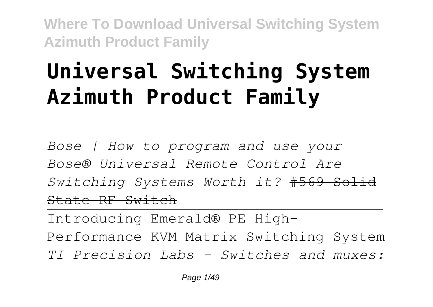## **Universal Switching System Azimuth Product Family**

*Bose | How to program and use your Bose® Universal Remote Control Are Switching Systems Worth it?* #569 Solid State RF Switch

Introducing Emerald® PE High-Performance KVM Matrix Switching System *TI Precision Labs - Switches and muxes:*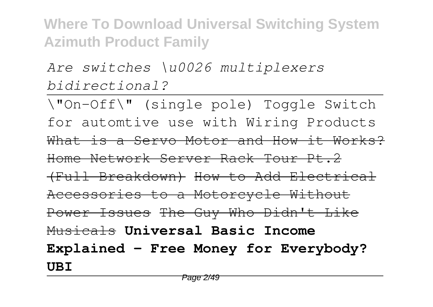*Are switches \u0026 multiplexers bidirectional?*

\"On-Off\" (single pole) Toggle Switch for automtive use with Wiring Products What is a Servo Motor and How it Works? Home Network Server Rack Tour Pt.2 (Full Breakdown) How to Add Electrical Accessories to a Motorcycle Without Power Issues The Guy Who Didn't Like Musicals **Universal Basic Income Explained – Free Money for Everybody? UBI**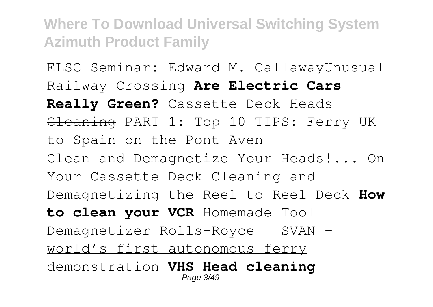ELSC Seminar: Edward M. CallawayUnusual Railway Crossing **Are Electric Cars** Really Green? Cassette Deck Heads Cleaning PART 1: Top 10 TIPS: Ferry UK to Spain on the Pont Aven Clean and Demagnetize Your Heads!... On Your Cassette Deck Cleaning and Demagnetizing the Reel to Reel Deck **How to clean your VCR** Homemade Tool Demagnetizer Rolls-Royce | SVAN world's first autonomous ferry demonstration **VHS Head cleaning** Page 3/49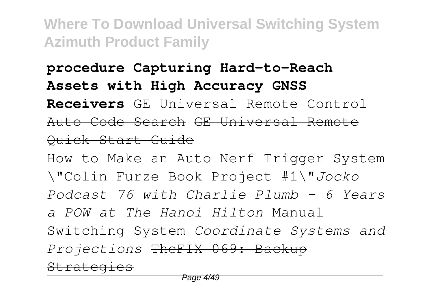**procedure Capturing Hard-to-Reach Assets with High Accuracy GNSS**

**Receivers** GE Universal Remote Control Auto Code Search GE Universal Remote Quick Start Guide

How to Make an Auto Nerf Trigger System \"Colin Furze Book Project #1\"*Jocko Podcast 76 with Charlie Plumb - 6 Years a POW at The Hanoi Hilton* Manual Switching System *Coordinate Systems and Projections* TheFIX 069: Backup **Strategies**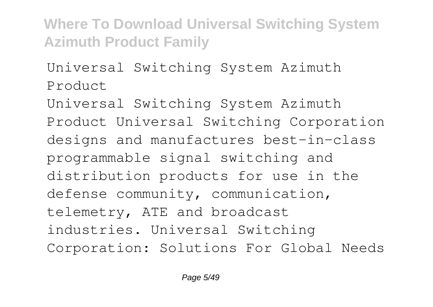Universal Switching System Azimuth Product

Universal Switching System Azimuth Product Universal Switching Corporation designs and manufactures best-in-class programmable signal switching and distribution products for use in the defense community, communication, telemetry, ATE and broadcast industries. Universal Switching Corporation: Solutions For Global Needs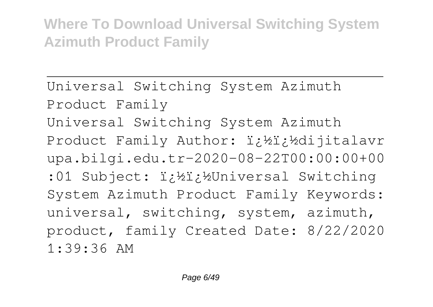Universal Switching System Azimuth Product Family Universal Switching System Azimuth Product Family Author: i; ½i; ½dijitalavr upa.bilgi.edu.tr-2020-08-22T00:00:00+00 :01 Subject: i¿½i¿½Universal Switching System Azimuth Product Family Keywords: universal, switching, system, azimuth, product, family Created Date: 8/22/2020 1:39:36 AM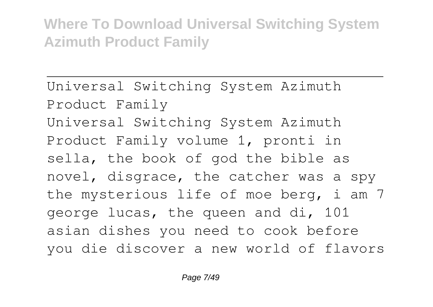Universal Switching System Azimuth Product Family Universal Switching System Azimuth Product Family volume 1, pronti in sella, the book of god the bible as novel, disgrace, the catcher was a spy the mysterious life of moe berg, i am 7 george lucas, the queen and di, 101 asian dishes you need to cook before you die discover a new world of flavors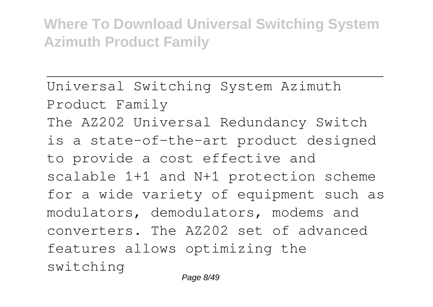Universal Switching System Azimuth Product Family The AZ202 Universal Redundancy Switch is a state-of-the-art product designed to provide a cost effective and scalable 1+1 and N+1 protection scheme for a wide variety of equipment such as modulators, demodulators, modems and converters. The AZ202 set of advanced features allows optimizing the switching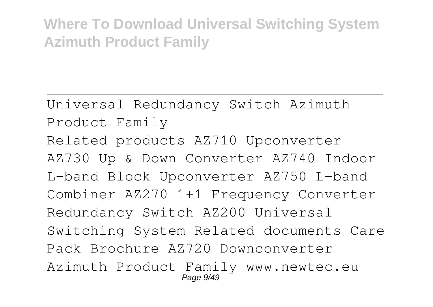Universal Redundancy Switch Azimuth Product Family Related products AZ710 Upconverter AZ730 Up & Down Converter AZ740 Indoor L-band Block Upconverter AZ750 L-band Combiner AZ270 1+1 Frequency Converter Redundancy Switch AZ200 Universal Switching System Related documents Care Pack Brochure AZ720 Downconverter Azimuth Product Family www.newtec.eu Page 9/49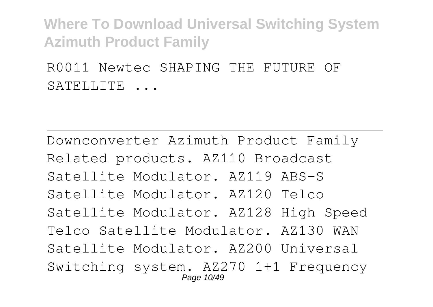R0011 Newtec SHAPING THE FUTURE OF SATELLITE ...

Downconverter Azimuth Product Family Related products. AZ110 Broadcast Satellite Modulator. AZ119 ABS-S Satellite Modulator. AZ120 Telco Satellite Modulator. AZ128 High Speed Telco Satellite Modulator. AZ130 WAN Satellite Modulator. AZ200 Universal Switching system. AZ270 1+1 Frequency Page 10/49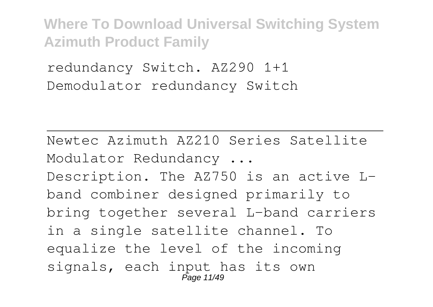redundancy Switch. AZ290 1+1 Demodulator redundancy Switch

Newtec Azimuth AZ210 Series Satellite Modulator Redundancy ... Description. The AZ750 is an active Lband combiner designed primarily to bring together several L-band carriers in a single satellite channel. To equalize the level of the incoming signals, each input has its own Page 11/49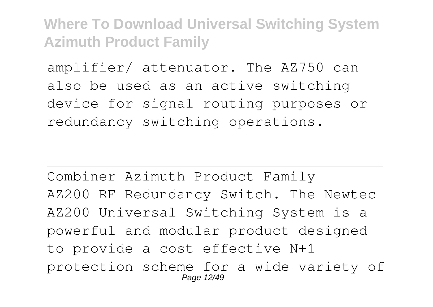amplifier/ attenuator. The AZ750 can also be used as an active switching device for signal routing purposes or redundancy switching operations.

Combiner Azimuth Product Family AZ200 RF Redundancy Switch. The Newtec AZ200 Universal Switching System is a powerful and modular product designed to provide a cost effective N+1 protection scheme for a wide variety of Page 12/49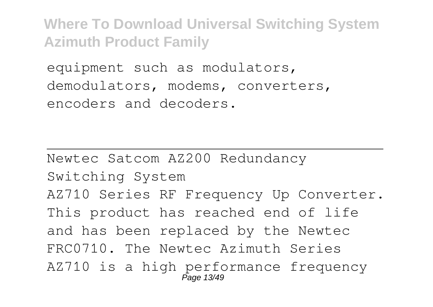equipment such as modulators, demodulators, modems, converters, encoders and decoders.

Newtec Satcom AZ200 Redundancy Switching System AZ710 Series RF Frequency Up Converter. This product has reached end of life and has been replaced by the Newtec FRC0710. The Newtec Azimuth Series AZ710 is a high performance frequency Page 13/49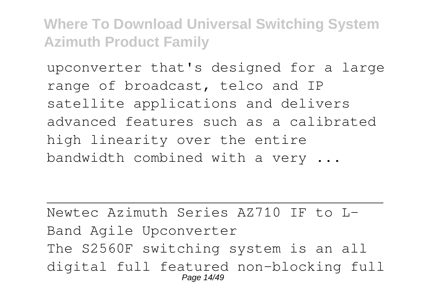upconverter that's designed for a large range of broadcast, telco and IP satellite applications and delivers advanced features such as a calibrated high linearity over the entire bandwidth combined with a very ...

Newtec Azimuth Series AZ710 IF to L-Band Agile Upconverter The S2560F switching system is an all digital full featured non-blocking full Page 14/49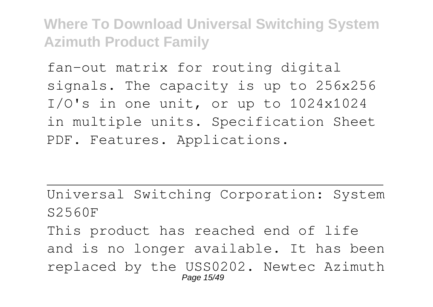fan-out matrix for routing digital signals. The capacity is up to 256x256 I/O's in one unit, or up to 1024x1024 in multiple units. Specification Sheet PDF. Features. Applications.

Universal Switching Corporation: System S2560F This product has reached end of life and is no longer available. It has been replaced by the USS0202. Newtec Azimuth Page 15/49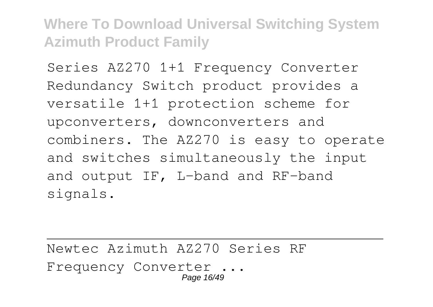Series AZ270 1+1 Frequency Converter Redundancy Switch product provides a versatile 1+1 protection scheme for upconverters, downconverters and combiners. The AZ270 is easy to operate and switches simultaneously the input and output IF, L-band and RF-band signals.

Newtec Azimuth AZ270 Series RF Frequency Converter ... Page 16/49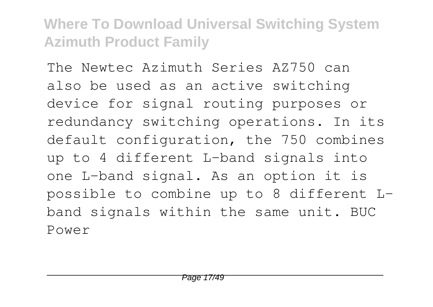The Newtec Azimuth Series AZ750 can also be used as an active switching device for signal routing purposes or redundancy switching operations. In its default configuration, the 750 combines up to 4 different L-band signals into one L-band signal. As an option it is possible to combine up to 8 different Lband signals within the same unit. BUC Power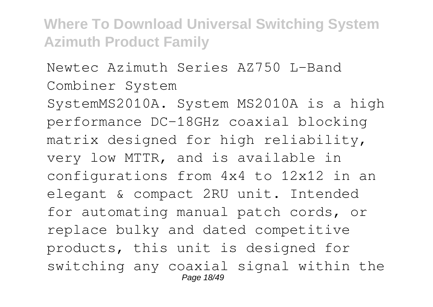## Newtec Azimuth Series AZ750 L-Band Combiner System

SystemMS2010A. System MS2010A is a high performance DC-18GHz coaxial blocking matrix designed for high reliability, very low MTTR, and is available in configurations from 4x4 to 12x12 in an elegant & compact 2RU unit. Intended for automating manual patch cords, or replace bulky and dated competitive products, this unit is designed for switching any coaxial signal within the Page 18/49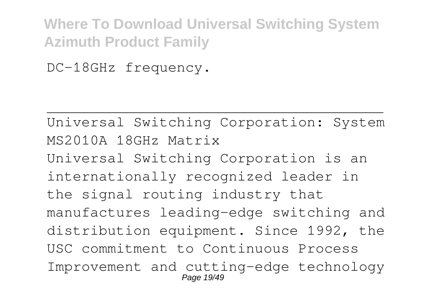DC-18GHz frequency.

Universal Switching Corporation: System MS2010A 18GHz Matrix Universal Switching Corporation is an internationally recognized leader in the signal routing industry that manufactures leading-edge switching and distribution equipment. Since 1992, the USC commitment to Continuous Process Improvement and cutting-edge technology Page 19/49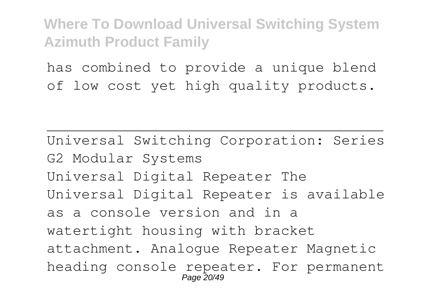has combined to provide a unique blend of low cost yet high quality products.

Universal Switching Corporation: Series G2 Modular Systems Universal Digital Repeater The Universal Digital Repeater is available as a console version and in a watertight housing with bracket attachment. Analogue Repeater Magnetic heading console repeater. For permanent Page 20/49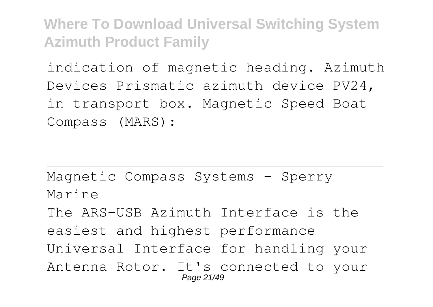indication of magnetic heading. Azimuth Devices Prismatic azimuth device PV24, in transport box. Magnetic Speed Boat Compass (MARS):

Magnetic Compass Systems - Sperry Marine The ARS-USB Azimuth Interface is the easiest and highest performance Universal Interface for handling your Antenna Rotor. It's connected to your Page 21/49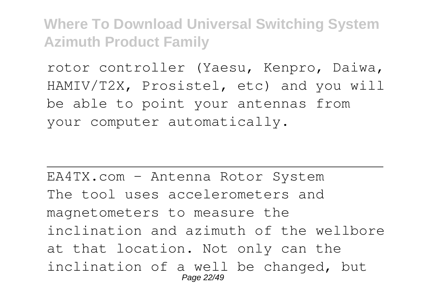rotor controller (Yaesu, Kenpro, Daiwa, HAMIV/T2X, Prosistel, etc) and you will be able to point your antennas from your computer automatically.

EA4TX.com – Antenna Rotor System The tool uses accelerometers and magnetometers to measure the inclination and azimuth of the wellbore at that location. Not only can the inclination of a well be changed, but Page 22/49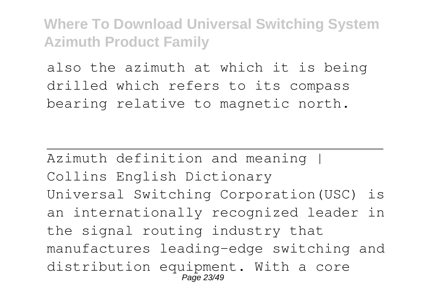also the azimuth at which it is being drilled which refers to its compass bearing relative to magnetic north.

Azimuth definition and meaning I Collins English Dictionary Universal Switching Corporation(USC) is an internationally recognized leader in the signal routing industry that manufactures leading-edge switching and distribution equipment. With a core  $Pa\bar{q}$ e 23/49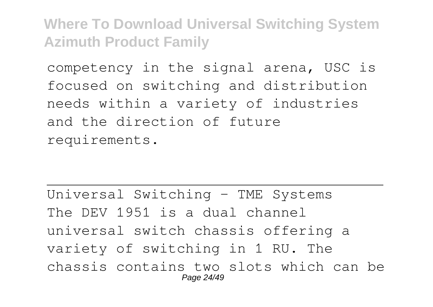competency in the signal arena, USC is focused on switching and distribution needs within a variety of industries and the direction of future requirements.

Universal Switching – TME Systems The DEV 1951 is a dual channel universal switch chassis offering a variety of switching in 1 RU. The chassis contains two slots which can be Page 24/49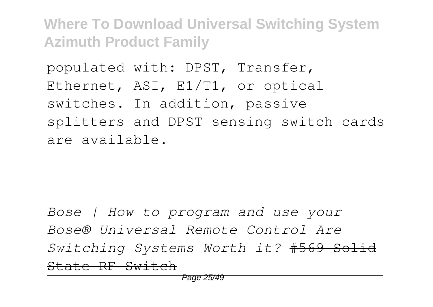populated with: DPST, Transfer, Ethernet, ASI, E1/T1, or optical switches. In addition, passive splitters and DPST sensing switch cards are available.

*Bose | How to program and use your Bose® Universal Remote Control Are Switching Systems Worth it?* #569 Solid State RF Switch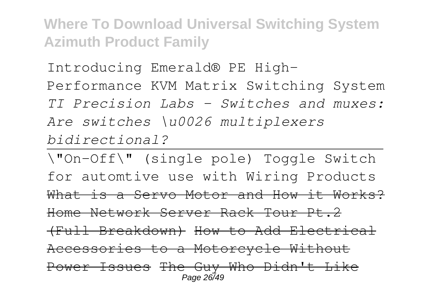Introducing Emerald® PE High-Performance KVM Matrix Switching System *TI Precision Labs - Switches and muxes: Are switches \u0026 multiplexers bidirectional?*

\"On-Off\" (single pole) Toggle Switch for automtive use with Wiring Products What is a Servo Motor and How it Works? Home Network Server Rack Tour Pt.2 (Full Breakdown) How to Add Electrical Accessories to a Motorcycle Without Power Issues The Guy Who Didn't Like Page 26/49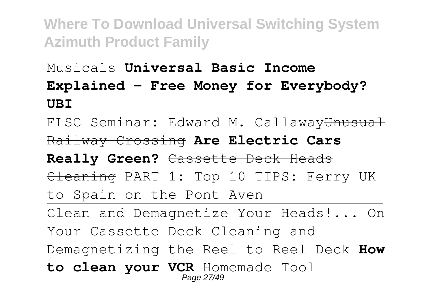## Musicals **Universal Basic Income Explained – Free Money for Everybody? UBI**

ELSC Seminar: Edward M. CallawayUnusual Railway Crossing **Are Electric Cars Really Green?** Cassette Deck Heads Cleaning PART 1: Top 10 TIPS: Ferry UK to Spain on the Pont Aven Clean and Demagnetize Your Heads!... On Your Cassette Deck Cleaning and Demagnetizing the Reel to Reel Deck **How to clean your VCR** Homemade Tool Page 27/49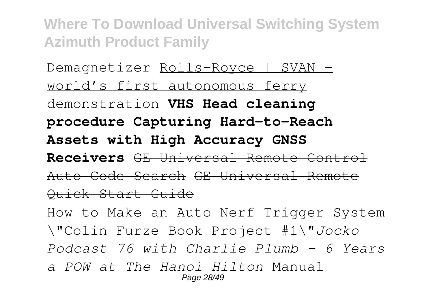Demagnetizer Rolls-Royce | SVAN world's first autonomous ferry demonstration **VHS Head cleaning procedure Capturing Hard-to-Reach Assets with High Accuracy GNSS Receivers** GE Universal Remote Control Auto Code Search GE Universal Remote Quick Start Guide

How to Make an Auto Nerf Trigger System \"Colin Furze Book Project #1\"*Jocko Podcast 76 with Charlie Plumb - 6 Years a POW at The Hanoi Hilton* Manual Page 28/49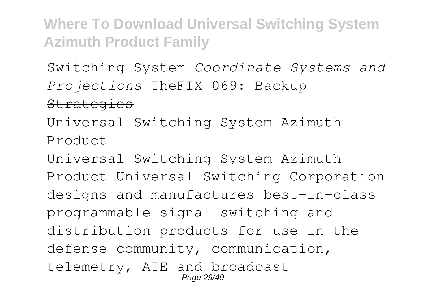Switching System *Coordinate Systems and Projections* TheFIX 069: Backup **Strategies** 

Universal Switching System Azimuth Product

Universal Switching System Azimuth Product Universal Switching Corporation designs and manufactures best-in-class programmable signal switching and distribution products for use in the defense community, communication, telemetry, ATE and broadcast Page 29/49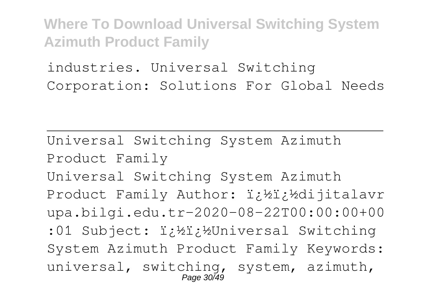industries. Universal Switching Corporation: Solutions For Global Needs

Universal Switching System Azimuth Product Family Universal Switching System Azimuth Product Family Author: i¿½i¿½dijitalavr upa.bilgi.edu.tr-2020-08-22T00:00:00+00 :01 Subject:  $i:Yi:Y$ Universal Switching System Azimuth Product Family Keywords: universal, switching, system, azimuth, Page 30/49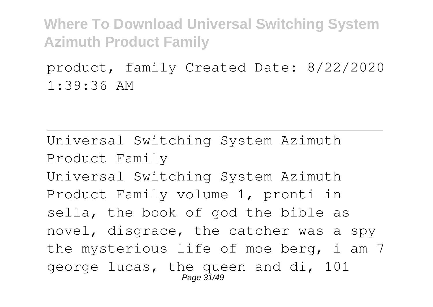product, family Created Date: 8/22/2020 1:39:36 AM

Universal Switching System Azimuth Product Family Universal Switching System Azimuth Product Family volume 1, pronti in sella, the book of god the bible as novel, disgrace, the catcher was a spy the mysterious life of moe berg, i am 7 george lucas, the queen and di, 101 Page 31/49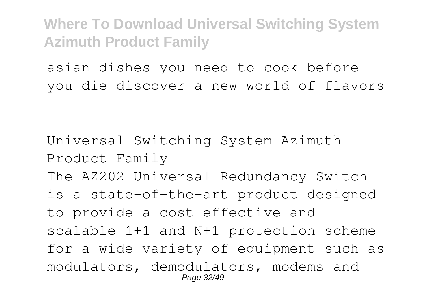asian dishes you need to cook before you die discover a new world of flavors

Universal Switching System Azimuth Product Family The AZ202 Universal Redundancy Switch is a state-of-the-art product designed to provide a cost effective and scalable 1+1 and N+1 protection scheme for a wide variety of equipment such as modulators, demodulators, modems and Page 32/49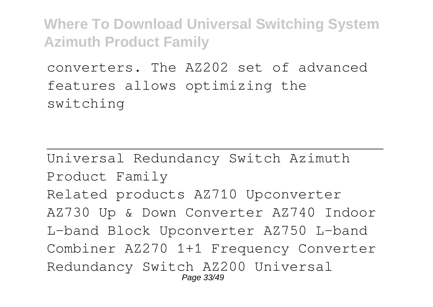converters. The AZ202 set of advanced features allows optimizing the switching

Universal Redundancy Switch Azimuth Product Family Related products AZ710 Upconverter AZ730 Up & Down Converter AZ740 Indoor L-band Block Upconverter AZ750 L-band Combiner AZ270 1+1 Frequency Converter Redundancy Switch AZ200 Universal Page 33/49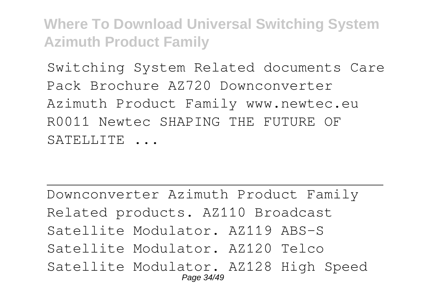Switching System Related documents Care Pack Brochure AZ720 Downconverter Azimuth Product Family www.newtec.eu R0011 Newtec SHAPING THE FUTURE OF SATELLITE ...

Downconverter Azimuth Product Family Related products. AZ110 Broadcast Satellite Modulator. AZ119 ABS-S Satellite Modulator. AZ120 Telco Satellite Modulator. AZ128 High Speed Page 34/49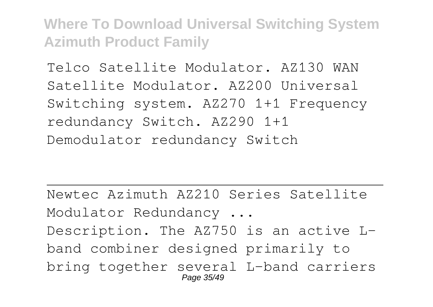Telco Satellite Modulator. AZ130 WAN Satellite Modulator. AZ200 Universal Switching system. AZ270 1+1 Frequency redundancy Switch. AZ290 1+1 Demodulator redundancy Switch

Newtec Azimuth AZ210 Series Satellite Modulator Redundancy ... Description. The AZ750 is an active Lband combiner designed primarily to bring together several L-band carriers Page 35/49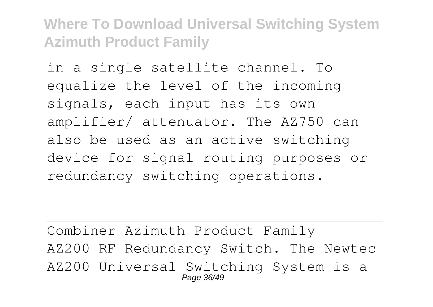in a single satellite channel. To equalize the level of the incoming signals, each input has its own amplifier/ attenuator. The AZ750 can also be used as an active switching device for signal routing purposes or redundancy switching operations.

Combiner Azimuth Product Family AZ200 RF Redundancy Switch. The Newtec AZ200 Universal Switching System is a Page 36/49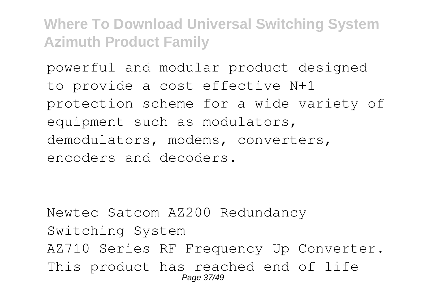powerful and modular product designed to provide a cost effective N+1 protection scheme for a wide variety of equipment such as modulators, demodulators, modems, converters, encoders and decoders.

Newtec Satcom AZ200 Redundancy Switching System AZ710 Series RF Frequency Up Converter. This product has reached end of life Page 37/49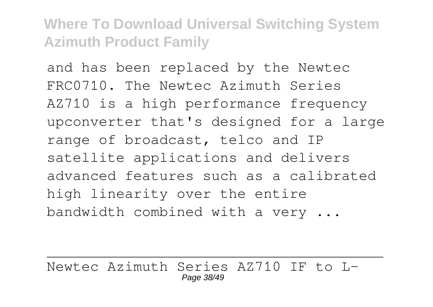and has been replaced by the Newtec FRC0710. The Newtec Azimuth Series AZ710 is a high performance frequency upconverter that's designed for a large range of broadcast, telco and IP satellite applications and delivers advanced features such as a calibrated high linearity over the entire bandwidth combined with a very ...

Newtec Azimuth Series AZ710 IF to L-Page 38/49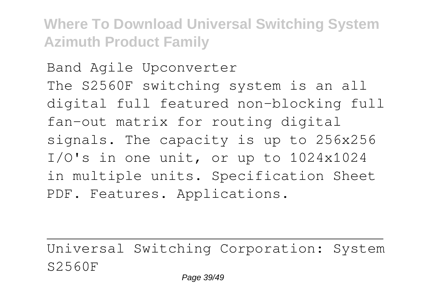Band Agile Upconverter The S2560F switching system is an all digital full featured non-blocking full fan-out matrix for routing digital signals. The capacity is up to 256x256 I/O's in one unit, or up to 1024x1024 in multiple units. Specification Sheet PDF. Features. Applications.

Universal Switching Corporation: System S2560F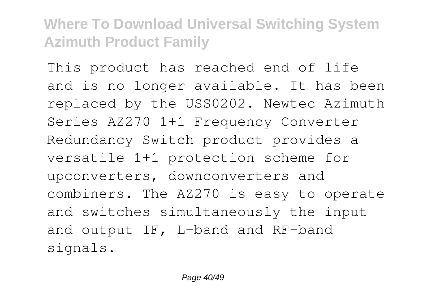This product has reached end of life and is no longer available. It has been replaced by the USS0202. Newtec Azimuth Series AZ270 1+1 Frequency Converter Redundancy Switch product provides a versatile 1+1 protection scheme for upconverters, downconverters and combiners. The AZ270 is easy to operate and switches simultaneously the input and output IF, L-band and RF-band signals.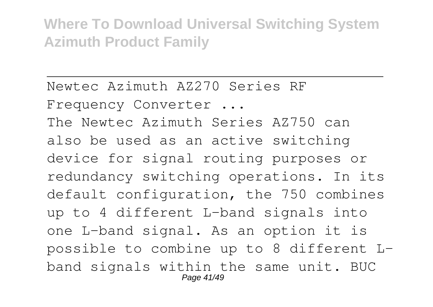Newtec Azimuth AZ270 Series RF

Frequency Converter ...

The Newtec Azimuth Series AZ750 can also be used as an active switching device for signal routing purposes or redundancy switching operations. In its default configuration, the 750 combines up to 4 different L-band signals into one L-band signal. As an option it is possible to combine up to 8 different Lband signals within the same unit. BUC Page 41/49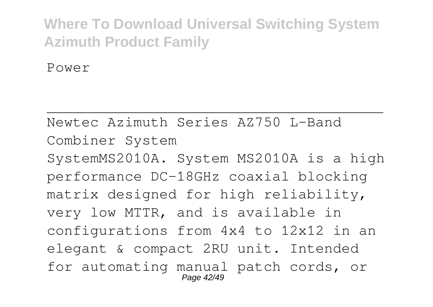Power

Newtec Azimuth Series AZ750 L-Band Combiner System SystemMS2010A. System MS2010A is a high performance DC-18GHz coaxial blocking matrix designed for high reliability, very low MTTR, and is available in configurations from 4x4 to 12x12 in an elegant & compact 2RU unit. Intended for automating manual patch cords, or Page 42/49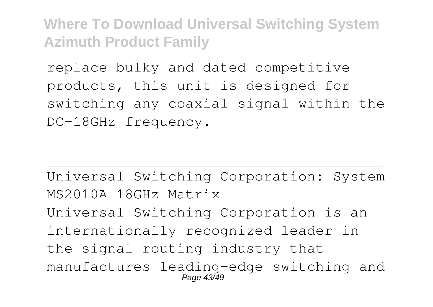replace bulky and dated competitive products, this unit is designed for switching any coaxial signal within the DC-18GHz frequency.

Universal Switching Corporation: System MS2010A 18GHz Matrix Universal Switching Corporation is an internationally recognized leader in the signal routing industry that manufactures leading-edge switching and Page 43/49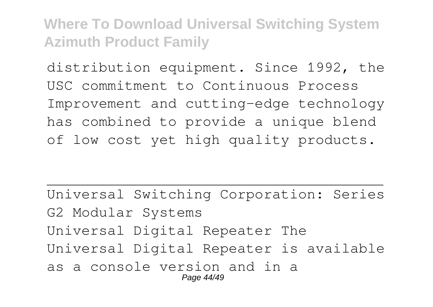distribution equipment. Since 1992, the USC commitment to Continuous Process Improvement and cutting-edge technology has combined to provide a unique blend of low cost yet high quality products.

Universal Switching Corporation: Series G2 Modular Systems Universal Digital Repeater The Universal Digital Repeater is available as a console version and in a Page 44/49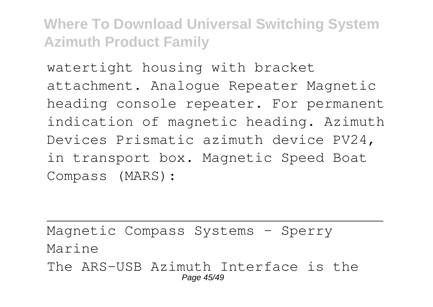watertight housing with bracket attachment. Analogue Repeater Magnetic heading console repeater. For permanent indication of magnetic heading. Azimuth Devices Prismatic azimuth device PV24, in transport box. Magnetic Speed Boat Compass (MARS):

Magnetic Compass Systems - Sperry Marine The ARS-USB Azimuth Interface is the Page 45/49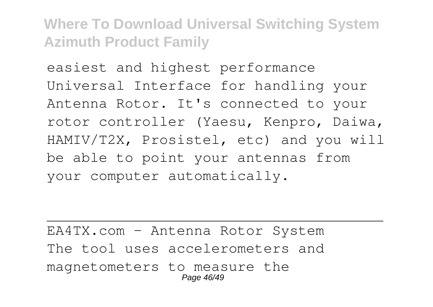easiest and highest performance Universal Interface for handling your Antenna Rotor. It's connected to your rotor controller (Yaesu, Kenpro, Daiwa, HAMIV/T2X, Prosistel, etc) and you will be able to point your antennas from your computer automatically.

EA4TX.com – Antenna Rotor System The tool uses accelerometers and magnetometers to measure the Page 46/49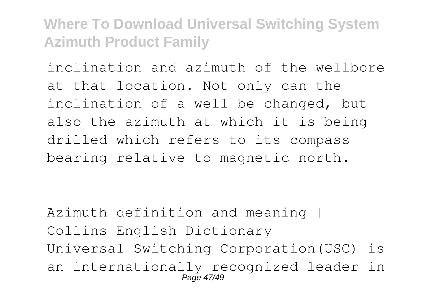inclination and azimuth of the wellbore at that location. Not only can the inclination of a well be changed, but also the azimuth at which it is being drilled which refers to its compass bearing relative to magnetic north.

Azimuth definition and meaning | Collins English Dictionary Universal Switching Corporation(USC) is an internationally recognized leader in Page 47/49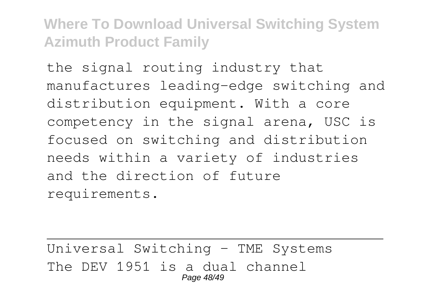the signal routing industry that manufactures leading-edge switching and distribution equipment. With a core competency in the signal arena, USC is focused on switching and distribution needs within a variety of industries and the direction of future requirements.

Universal Switching – TME Systems The DEV 1951 is a dual channel Page 48/49